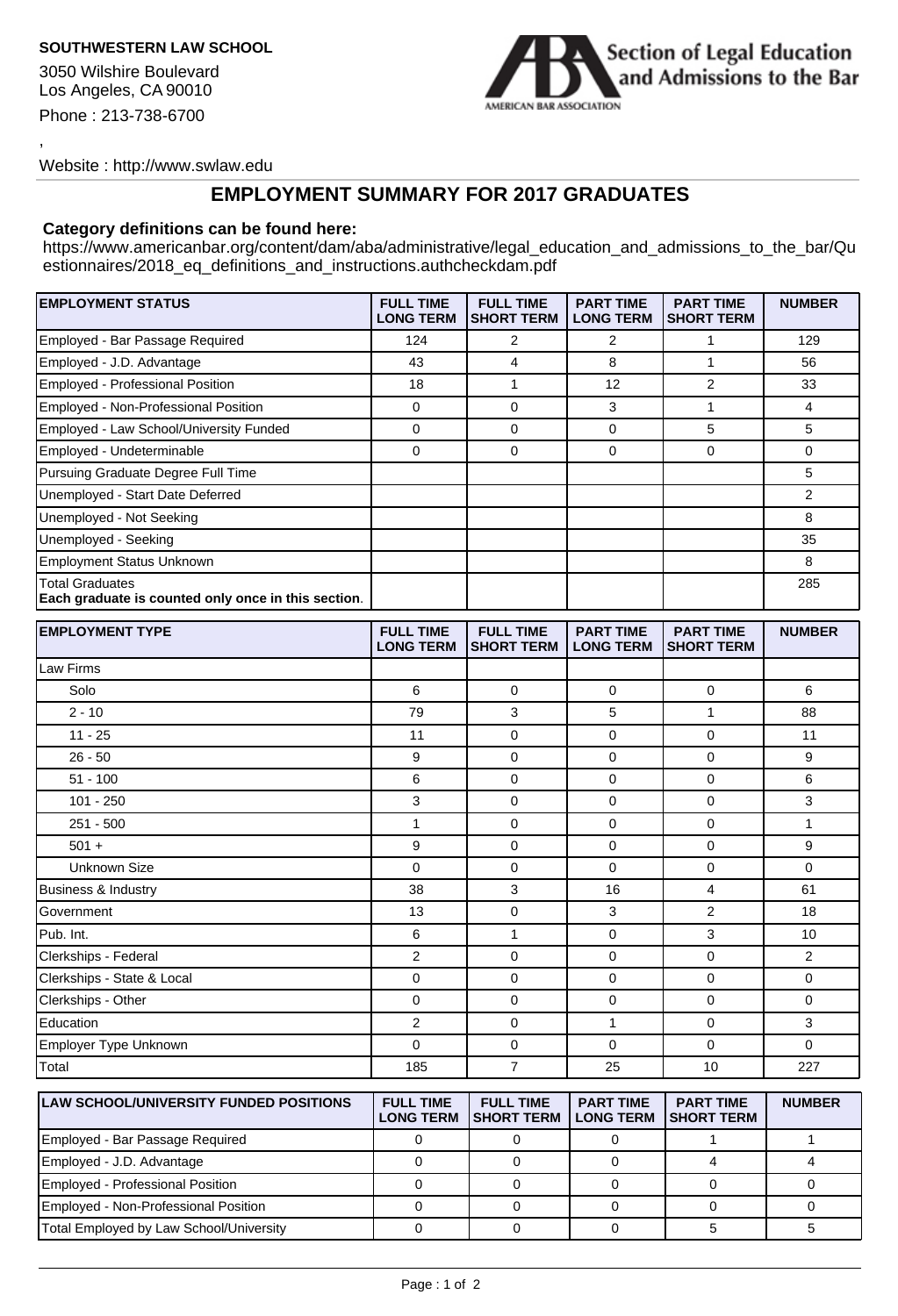## **SOUTHWESTERN LAW SCHOOL**

3050 Wilshire Boulevard Los Angeles, CA 90010 Phone : 213-738-6700

,



Website : http://www.swlaw.edu

## **EMPLOYMENT SUMMARY FOR 2017 GRADUATES**

## **Category definitions can be found here:**

https://www.americanbar.org/content/dam/aba/administrative/legal\_education\_and\_admissions\_to\_the\_bar/Qu estionnaires/2018\_eq\_definitions\_and\_instructions.authcheckdam.pdf

| <b>EMPLOYMENT STATUS</b>                                                      | <b>FULL TIME</b><br><b>LONG TERM</b> | <b>FULL TIME</b><br><b>SHORT TERM</b>      | <b>PART TIME</b><br><b>LONG TERM</b> | <b>PART TIME</b><br><b>SHORT TERM</b> | <b>NUMBER</b>  |
|-------------------------------------------------------------------------------|--------------------------------------|--------------------------------------------|--------------------------------------|---------------------------------------|----------------|
| Employed - Bar Passage Required                                               | 124                                  | 2                                          | $\overline{2}$                       | 1                                     | 129            |
| Employed - J.D. Advantage                                                     | 43                                   | 4                                          | 8                                    | $\mathbf{1}$                          | 56             |
| Employed - Professional Position                                              | 18                                   | 1                                          | 12                                   | 2                                     | 33             |
| Employed - Non-Professional Position                                          | 0                                    | 0                                          | 3                                    | $\mathbf{1}$                          | 4              |
| Employed - Law School/University Funded                                       | 0                                    | 0                                          | 0                                    | 5                                     | 5              |
| Employed - Undeterminable                                                     | $\mathbf 0$                          | 0                                          | $\mathbf 0$                          | 0                                     | 0              |
| Pursuing Graduate Degree Full Time                                            |                                      |                                            |                                      |                                       | 5              |
| Unemployed - Start Date Deferred                                              |                                      |                                            |                                      |                                       | $\overline{2}$ |
| Unemployed - Not Seeking                                                      |                                      |                                            |                                      |                                       | 8              |
| Unemployed - Seeking                                                          |                                      |                                            |                                      |                                       | 35             |
| <b>Employment Status Unknown</b>                                              |                                      |                                            |                                      |                                       | 8              |
| <b>Total Graduates</b><br>Each graduate is counted only once in this section. |                                      |                                            |                                      |                                       | 285            |
| <b>EMPLOYMENT TYPE</b>                                                        | <b>FULL TIME</b><br><b>LONG TERM</b> | <b>FULL TIME</b><br>SHORT TERM             | <b>PART TIME</b><br><b>LONG TERM</b> | <b>PART TIME</b><br><b>SHORT TERM</b> | <b>NUMBER</b>  |
| Law Firms                                                                     |                                      |                                            |                                      |                                       |                |
| Solo                                                                          | 6                                    | 0                                          | $\mathbf 0$                          | 0                                     | 6              |
| $2 - 10$                                                                      | 79                                   | 3                                          | 5                                    | $\mathbf{1}$                          | 88             |
| $11 - 25$                                                                     | 11                                   | 0                                          | $\mathbf 0$                          | 0                                     | 11             |
| $26 - 50$                                                                     | 9                                    | 0                                          | 0                                    | 0                                     | 9              |
| $51 - 100$                                                                    | 6                                    | 0                                          | $\mathbf 0$                          | 0                                     | 6              |
| $101 - 250$                                                                   | 3                                    | 0                                          | $\mathbf 0$                          | 0                                     | 3              |
| $251 - 500$                                                                   | $\mathbf{1}$                         | 0                                          | $\mathbf 0$                          | 0                                     | $\mathbf{1}$   |
| $501 +$                                                                       | 9                                    | 0                                          | $\Omega$                             | $\Omega$                              | 9              |
| Unknown Size                                                                  | $\mathbf 0$                          | 0                                          | $\Omega$                             | 0                                     | $\Omega$       |
| Business & Industry                                                           | 38                                   | 3                                          | 16                                   | $\overline{4}$                        | 61             |
| Government                                                                    | 13                                   | 0                                          | 3                                    | 2                                     | 18             |
| Pub. Int.                                                                     | 6                                    | $\mathbf{1}$                               | $\mathbf 0$                          | 3                                     | 10             |
| Clerkships - Federal                                                          | 2                                    | 0                                          | $\mathbf 0$                          | 0                                     | $\overline{2}$ |
| Clerkships - State & Local                                                    | 0                                    | 0                                          | 0                                    | 0                                     | 0              |
| Clerkships - Other                                                            | 0                                    | 0                                          | $\Omega$                             | 0                                     | 0              |
| Education                                                                     | $\overline{2}$                       | 0                                          | $\mathbf{1}$                         | 0                                     | 3              |
| Employer Type Unknown                                                         | 0                                    | 0                                          | 0                                    | 0                                     | 0              |
| Total                                                                         | 185                                  | $\overline{7}$                             | 25                                   | 10                                    | 227            |
| ILAM COUOQUILINIVERCITY FUNDED BOOTIONS                                       |                                      | $\Gamma$ cut the $\Gamma$ cut the $\Gamma$ |                                      | $l$ DADT TIME $l$ DADT TIME $l$       | <b>NUBBOFD</b> |

| <b>LAW SCHOOL/UNIVERSITY FUNDED POSITIONS</b> | <b>FULL TIME</b><br><b>LONG TERM</b> | <b>FULL TIME</b><br><b>ISHORT TERM</b> | <b>PART TIME</b><br><b>LONG TERM</b> | <b>PART TIME</b><br><b>ISHORT TERM</b> | <b>NUMBER</b> |
|-----------------------------------------------|--------------------------------------|----------------------------------------|--------------------------------------|----------------------------------------|---------------|
| Employed - Bar Passage Required               |                                      |                                        |                                      |                                        |               |
| Employed - J.D. Advantage                     |                                      |                                        |                                      |                                        |               |
| Employed - Professional Position              |                                      |                                        |                                      |                                        |               |
| Employed - Non-Professional Position          |                                      |                                        |                                      |                                        |               |
| Total Employed by Law School/University       |                                      |                                        |                                      |                                        |               |